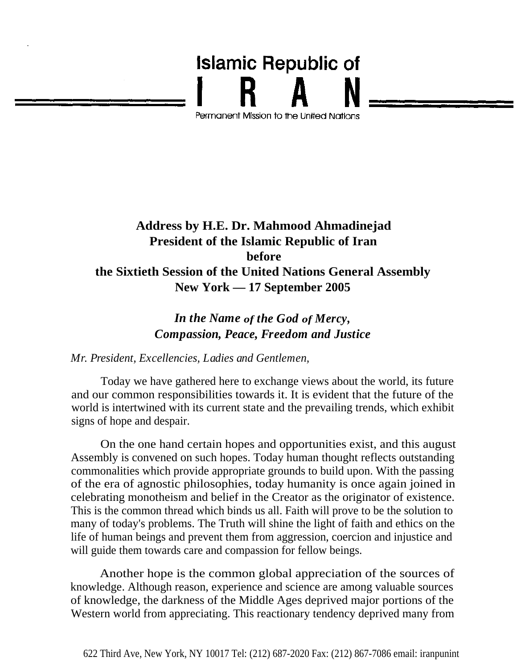# Islamic Republic of Permanent Mission to the United Nations

### **Address by H.E. Dr. Mahmood Ahmadinejad President of the Islamic Republic of Iran before the Sixtieth Session of the United Nations General Assembly New York — 17 September 2005**

## *In the Name of the God of Mercy, Compassion, Peace, Freedom and Justice*

*Mr. President, Excellencies, Ladies and Gentlemen,*

Today we have gathered here to exchange views about the world, its future and our common responsibilities towards it. It is evident that the future of the world is intertwined with its current state and the prevailing trends, which exhibit signs of hope and despair.

On the one hand certain hopes and opportunities exist, and this august Assembly is convened on such hopes. Today human thought reflects outstanding commonalities which provide appropriate grounds to build upon. With the passing of the era of agnostic philosophies, today humanity is once again joined in celebrating monotheism and belief in the Creator as the originator of existence. This is the common thread which binds us all. Faith will prove to be the solution to many of today's problems. The Truth will shine the light of faith and ethics on the life of human beings and prevent them from aggression, coercion and injustice and will guide them towards care and compassion for fellow beings.

Another hope is the common global appreciation of the sources of knowledge. Although reason, experience and science are among valuable sources of knowledge, the darkness of the Middle Ages deprived major portions of the Western world from appreciating. This reactionary tendency deprived many from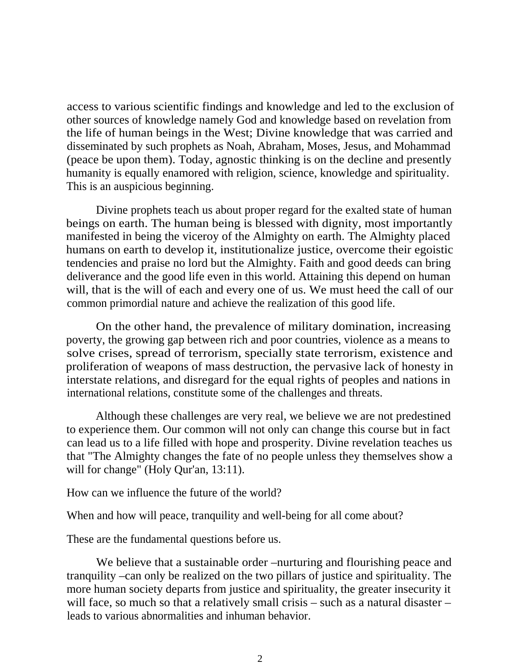access to various scientific findings and knowledge and led to the exclusion of other sources of knowledge namely God and knowledge based on revelation from the life of human beings in the West; Divine knowledge that was carried and disseminated by such prophets as Noah, Abraham, Moses, Jesus, and Mohammad (peace be upon them). Today, agnostic thinking is on the decline and presently humanity is equally enamored with religion, science, knowledge and spirituality. This is an auspicious beginning.

Divine prophets teach us about proper regard for the exalted state of human beings on earth. The human being is blessed with dignity, most importantly manifested in being the viceroy of the Almighty on earth. The Almighty placed humans on earth to develop it, institutionalize justice, overcome their egoistic tendencies and praise no lord but the Almighty. Faith and good deeds can bring deliverance and the good life even in this world. Attaining this depend on human will, that is the will of each and every one of us. We must heed the call of our common primordial nature and achieve the realization of this good life.

On the other hand, the prevalence of military domination, increasing poverty, the growing gap between rich and poor countries, violence as a means to solve crises, spread of terrorism, specially state terrorism, existence and proliferation of weapons of mass destruction, the pervasive lack of honesty in interstate relations, and disregard for the equal rights of peoples and nations in international relations, constitute some of the challenges and threats.

Although these challenges are very real, we believe we are not predestined to experience them. Our common will not only can change this course but in fact can lead us to a life filled with hope and prosperity. Divine revelation teaches us that "The Almighty changes the fate of no people unless they themselves show a will for change" (Holy Qur'an, 13:11).

How can we influence the future of the world?

When and how will peace, tranquility and well-being for all come about?

These are the fundamental questions before us.

We believe that a sustainable order –nurturing and flourishing peace and tranquility –can only be realized on the two pillars of justice and spirituality. The more human society departs from justice and spirituality, the greater insecurity it will face, so much so that a relatively small crisis – such as a natural disaster – leads to various abnormalities and inhuman behavior.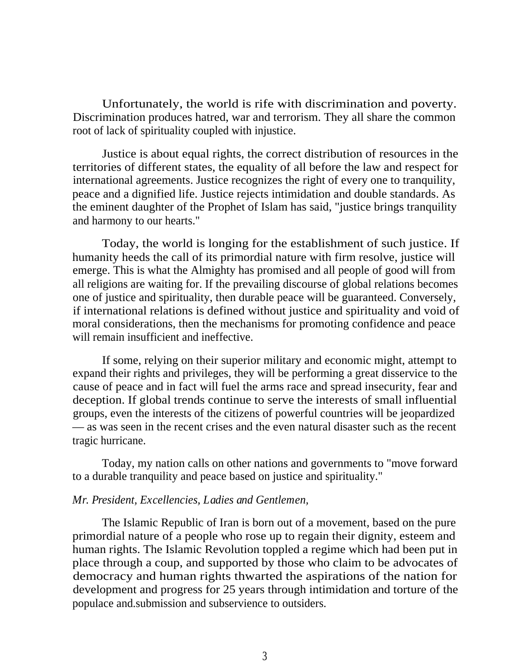Unfortunately, the world is rife with discrimination and poverty. Discrimination produces hatred, war and terrorism. They all share the common root of lack of spirituality coupled with injustice.

Justice is about equal rights, the correct distribution of resources in the territories of different states, the equality of all before the law and respect for international agreements. Justice recognizes the right of every one to tranquility, peace and a dignified life. Justice rejects intimidation and double standards. As the eminent daughter of the Prophet of Islam has said, "justice brings tranquility and harmony to our hearts."

Today, the world is longing for the establishment of such justice. If humanity heeds the call of its primordial nature with firm resolve, justice will emerge. This is what the Almighty has promised and all people of good will from all religions are waiting for. If the prevailing discourse of global relations becomes one of justice and spirituality, then durable peace will be guaranteed. Conversely, if international relations is defined without justice and spirituality and void of moral considerations, then the mechanisms for promoting confidence and peace will remain insufficient and ineffective.

If some, relying on their superior military and economic might, attempt to expand their rights and privileges, they will be performing a great disservice to the cause of peace and in fact will fuel the arms race and spread insecurity, fear and deception. If global trends continue to serve the interests of small influential groups, even the interests of the citizens of powerful countries will be jeopardized — as was seen in the recent crises and the even natural disaster such as the recent tragic hurricane.

Today, my nation calls on other nations and governments to "move forward to a durable tranquility and peace based on justice and spirituality."

#### *Mr. President, Excellencies, Ladies and Gentlemen,*

The Islamic Republic of Iran is born out of a movement, based on the pure primordial nature of a people who rose up to regain their dignity, esteem and human rights. The Islamic Revolution toppled a regime which had been put in place through a coup, and supported by those who claim to be advocates of democracy and human rights thwarted the aspirations of the nation for development and progress for 25 years through intimidation and torture of the populace and.submission and subservience to outsiders.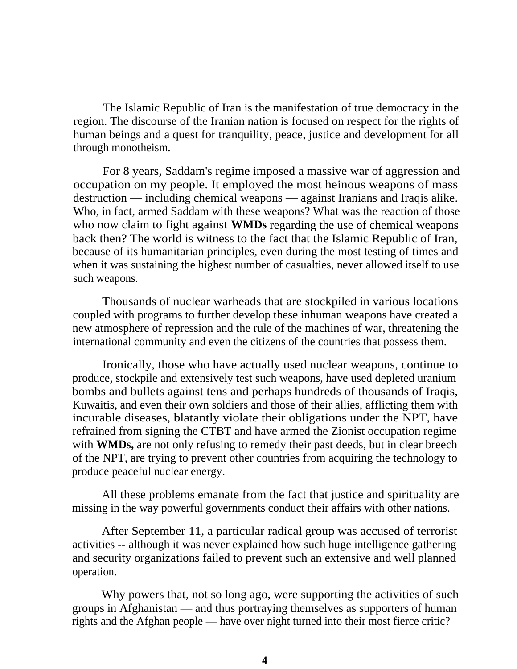The Islamic Republic of Iran is the manifestation of true democracy in the region. The discourse of the Iranian nation is focused on respect for the rights of human beings and a quest for tranquility, peace, justice and development for all through monotheism.

For 8 years, Saddam's regime imposed a massive war of aggression and occupation on my people. It employed the most heinous weapons of mass destruction — including chemical weapons — against Iranians and Iraqis alike. Who, in fact, armed Saddam with these weapons? What was the reaction of those who now claim to fight against **WMDs** regarding the use of chemical weapons back then? The world is witness to the fact that the Islamic Republic of Iran, because of its humanitarian principles, even during the most testing of times and when it was sustaining the highest number of casualties, never allowed itself to use such weapons.

Thousands of nuclear warheads that are stockpiled in various locations coupled with programs to further develop these inhuman weapons have created a new atmosphere of repression and the rule of the machines of war, threatening the international community and even the citizens of the countries that possess them.

Ironically, those who have actually used nuclear weapons, continue to produce, stockpile and extensively test such weapons, have used depleted uranium bombs and bullets against tens and perhaps hundreds of thousands of Iraqis, Kuwaitis, and even their own soldiers and those of their allies, afflicting them with incurable diseases, blatantly violate their obligations under the NPT, have refrained from signing the CTBT and have armed the Zionist occupation regime with **WMDs**, are not only refusing to remedy their past deeds, but in clear breech of the NPT, are trying to prevent other countries from acquiring the technology to produce peaceful nuclear energy.

All these problems emanate from the fact that justice and spirituality are missing in the way powerful governments conduct their affairs with other nations.

After September 11, a particular radical group was accused of terrorist activities -- although it was never explained how such huge intelligence gathering and security organizations failed to prevent such an extensive and well planned operation.

Why powers that, not so long ago, were supporting the activities of such groups in Afghanistan — and thus portraying themselves as supporters of human rights and the Afghan people — have over night turned into their most fierce critic?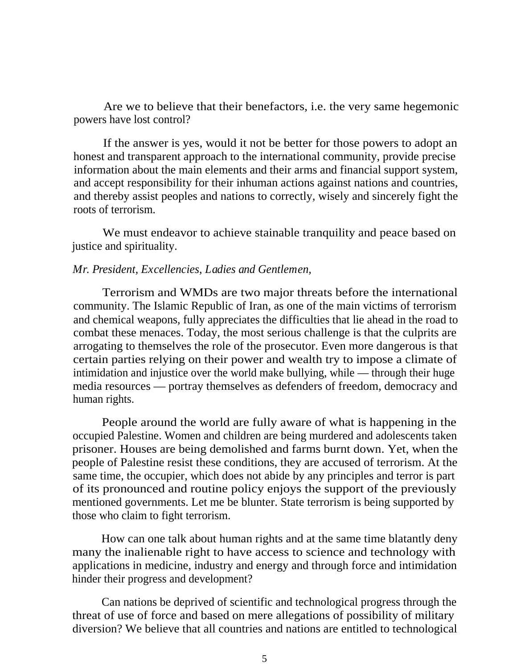Are we to believe that their benefactors, i.e. the very same hegemonic powers have lost control?

If the answer is yes, would it not be better for those powers to adopt an honest and transparent approach to the international community, provide precise information about the main elements and their arms and financial support system, and accept responsibility for their inhuman actions against nations and countries, and thereby assist peoples and nations to correctly, wisely and sincerely fight the roots of terrorism.

We must endeavor to achieve stainable tranquility and peace based on justice and spirituality.

#### *Mr. President, Excellencies, Ladies and Gentlemen,*

Terrorism and WMDs are two major threats before the international community. The Islamic Republic of Iran, as one of the main victims of terrorism and chemical weapons, fully appreciates the difficulties that lie ahead in the road to combat these menaces. Today, the most serious challenge is that the culprits are arrogating to themselves the role of the prosecutor. Even more dangerous is that certain parties relying on their power and wealth try to impose a climate of intimidation and injustice over the world make bullying, while — through their huge media resources — portray themselves as defenders of freedom, democracy and human rights.

People around the world are fully aware of what is happening in the occupied Palestine. Women and children are being murdered and adolescents taken prisoner. Houses are being demolished and farms burnt down. Yet, when the people of Palestine resist these conditions, they are accused of terrorism. At the same time, the occupier, which does not abide by any principles and terror is part of its pronounced and routine policy enjoys the support of the previously mentioned governments. Let me be blunter. State terrorism is being supported by those who claim to fight terrorism.

How can one talk about human rights and at the same time blatantly deny many the inalienable right to have access to science and technology with applications in medicine, industry and energy and through force and intimidation hinder their progress and development?

Can nations be deprived of scientific and technological progress through the threat of use of force and based on mere allegations of possibility of military diversion? We believe that all countries and nations are entitled to technological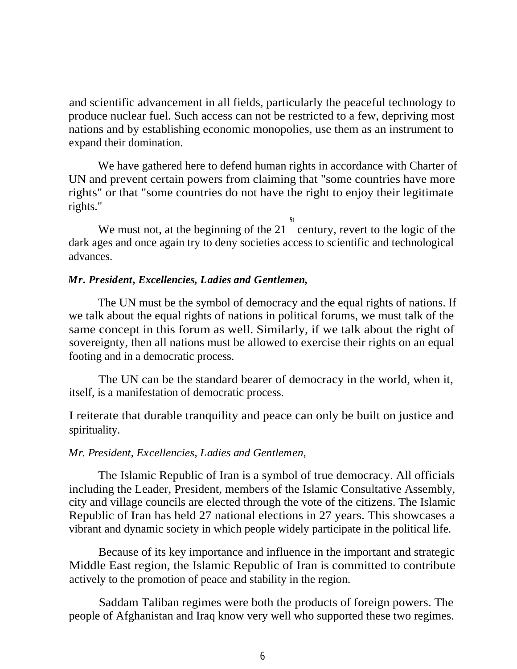and scientific advancement in all fields, particularly the peaceful technology to produce nuclear fuel. Such access can not be restricted to a few, depriving most nations and by establishing economic monopolies, use them as an instrument to expand their domination.

We have gathered here to defend human rights in accordance with Charter of UN and prevent certain powers from claiming that "some countries have more rights" or that "some countries do not have the right to enjoy their legitimate rights."

We must not, at the beginning of the  $21\degree$  century, revert to the logic of the dark ages and once again try to deny societies access to scientific and technological advances.

#### *Mr. President, Excellencies, Ladies and Gentlemen,*

The UN must be the symbol of democracy and the equal rights of nations. If we talk about the equal rights of nations in political forums, we must talk of the same concept in this forum as well. Similarly, if we talk about the right of sovereignty, then all nations must be allowed to exercise their rights on an equal footing and in a democratic process.

The UN can be the standard bearer of democracy in the world, when it, itself, is a manifestation of democratic process.

I reiterate that durable tranquility and peace can only be built on justice and spirituality.

#### *Mr. President, Excellencies, Ladies and Gentlemen,*

The Islamic Republic of Iran is a symbol of true democracy. All officials including the Leader, President, members of the Islamic Consultative Assembly, city and village councils are elected through the vote of the citizens. The Islamic Republic of Iran has held 27 national elections in 27 years. This showcases a vibrant and dynamic society in which people widely participate in the political life.

Because of its key importance and influence in the important and strategic Middle East region, the Islamic Republic of Iran is committed to contribute actively to the promotion of peace and stability in the region.

Saddam Taliban regimes were both the products of foreign powers. The people of Afghanistan and Iraq know very well who supported these two regimes.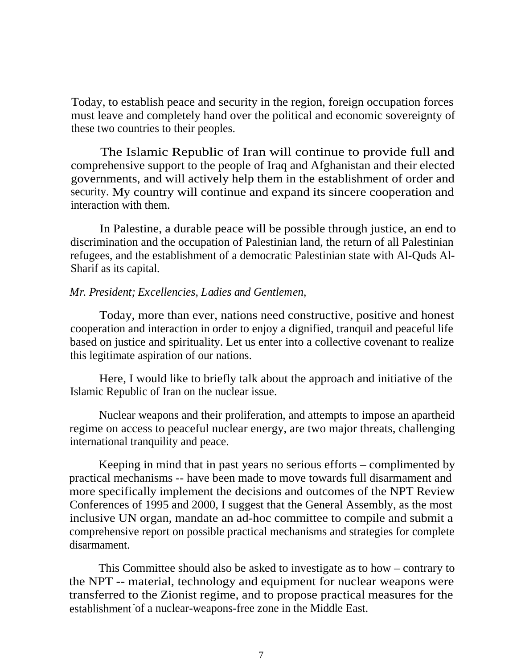Today, to establish peace and security in the region, foreign occupation forces must leave and completely hand over the political and economic sovereignty of these two countries to their peoples.

The Islamic Republic of Iran will continue to provide full and comprehensive support to the people of Iraq and Afghanistan and their elected governments, and will actively help them in the establishment of order and security. My country will continue and expand its sincere cooperation and interaction with them.

In Palestine, a durable peace will be possible through justice, an end to discrimination and the occupation of Palestinian land, the return of all Palestinian refugees, and the establishment of a democratic Palestinian state with Al-Quds Al-Sharif as its capital.

#### *Mr. President; Excellencies, Ladies and Gentlemen,*

Today, more than ever, nations need constructive, positive and honest cooperation and interaction in order to enjoy a dignified, tranquil and peaceful life based on justice and spirituality. Let us enter into a collective covenant to realize this legitimate aspiration of our nations.

Here, I would like to briefly talk about the approach and initiative of the Islamic Republic of Iran on the nuclear issue.

Nuclear weapons and their proliferation, and attempts to impose an apartheid regime on access to peaceful nuclear energy, are two major threats, challenging international tranquility and peace.

Keeping in mind that in past years no serious efforts – complimented by practical mechanisms -- have been made to move towards full disarmament and more specifically implement the decisions and outcomes of the NPT Review Conferences of 1995 and 2000, I suggest that the General Assembly, as the most inclusive UN organ, mandate an ad-hoc committee to compile and submit a comprehensive report on possible practical mechanisms and strategies for complete disarmament.

This Committee should also be asked to investigate as to how – contrary to the NPT -- material, technology and equipment for nuclear weapons were transferred to the Zionist regime, and to propose practical measures for the establishment of a nuclear-weapons-free zone in the Middle East.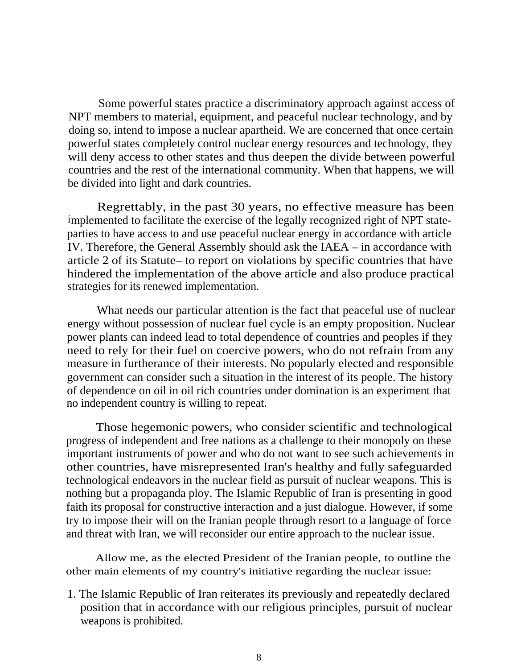Some powerful states practice a discriminatory approach against access of NPT members to material, equipment, and peaceful nuclear technology, and by doing so, intend to impose a nuclear apartheid. We are concerned that once certain powerful states completely control nuclear energy resources and technology, they will deny access to other states and thus deepen the divide between powerful countries and the rest of the international community. When that happens, we will be divided into light and dark countries.

Regrettably, in the past 30 years, no effective measure has been implemented to facilitate the exercise of the legally recognized right of NPT stateparties to have access to and use peaceful nuclear energy in accordance with article IV. Therefore, the General Assembly should ask the IAEA – in accordance with article 2 of its Statute– to report on violations by specific countries that have hindered the implementation of the above article and also produce practical strategies for its renewed implementation.

What needs our particular attention is the fact that peaceful use of nuclear energy without possession of nuclear fuel cycle is an empty proposition. Nuclear power plants can indeed lead to total dependence of countries and peoples if they need to rely for their fuel on coercive powers, who do not refrain from any measure in furtherance of their interests. No popularly elected and responsible government can consider such a situation in the interest of its people. The history of dependence on oil in oil rich countries under domination is an experiment that no independent country is willing to repeat.

Those hegemonic powers, who consider scientific and technological progress of independent and free nations as a challenge to their monopoly on these important instruments of power and who do not want to see such achievements in other countries, have misrepresented Iran's healthy and fully safeguarded technological endeavors in the nuclear field as pursuit of nuclear weapons. This is nothing but a propaganda ploy. The Islamic Republic of Iran is presenting in good faith its proposal for constructive interaction and a just dialogue. However, if some try to impose their will on the Iranian people through resort to a language of force and threat with Iran, we will reconsider our entire approach to the nuclear issue.

Allow me, as the elected President of the Iranian people, to outline the other main elements of my country's initiative regarding the nuclear issue:

1. The Islamic Republic of Iran reiterates its previously and repeatedly declared position that in accordance with our religious principles, pursuit of nuclear weapons is prohibited.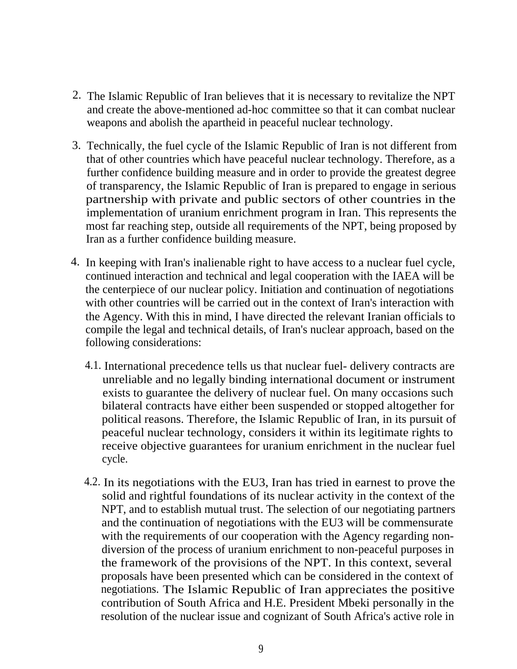- 2. The Islamic Republic of Iran believes that it is necessary to revitalize the NPT and create the above-mentioned ad-hoc committee so that it can combat nuclear weapons and abolish the apartheid in peaceful nuclear technology.
- 3. Technically, the fuel cycle of the Islamic Republic of Iran is not different from that of other countries which have peaceful nuclear technology. Therefore, as a further confidence building measure and in order to provide the greatest degree of transparency, the Islamic Republic of Iran is prepared to engage in serious partnership with private and public sectors of other countries in the implementation of uranium enrichment program in Iran. This represents the most far reaching step, outside all requirements of the NPT, being proposed by Iran as a further confidence building measure.
- 4. In keeping with Iran's inalienable right to have access to a nuclear fuel cycle, continued interaction and technical and legal cooperation with the IAEA will be the centerpiece of our nuclear policy. Initiation and continuation of negotiations with other countries will be carried out in the context of Iran's interaction with the Agency. With this in mind, I have directed the relevant Iranian officials to compile the legal and technical details, of Iran's nuclear approach, based on the following considerations:
	- 4.1. International precedence tells us that nuclear fuel- delivery contracts are unreliable and no legally binding international document or instrument exists to guarantee the delivery of nuclear fuel. On many occasions such bilateral contracts have either been suspended or stopped altogether for political reasons. Therefore, the Islamic Republic of Iran, in its pursuit of peaceful nuclear technology, considers it within its legitimate rights to receive objective guarantees for uranium enrichment in the nuclear fuel cycle.
	- 4.2. In its negotiations with the EU3, Iran has tried in earnest to prove the solid and rightful foundations of its nuclear activity in the context of the NPT, and to establish mutual trust. The selection of our negotiating partners and the continuation of negotiations with the EU3 will be commensurate with the requirements of our cooperation with the Agency regarding nondiversion of the process of uranium enrichment to non-peaceful purposes in the framework of the provisions of the NPT. In this context, several proposals have been presented which can be considered in the context of negotiations. The Islamic Republic of Iran appreciates the positive contribution of South Africa and H.E. President Mbeki personally in the resolution of the nuclear issue and cognizant of South Africa's active role in